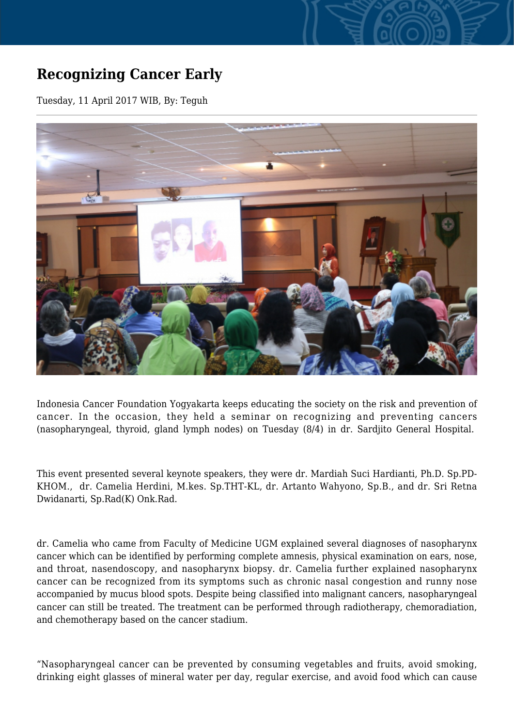## **Recognizing Cancer Early**

Tuesday, 11 April 2017 WIB, By: Teguh



Indonesia Cancer Foundation Yogyakarta keeps educating the society on the risk and prevention of cancer. In the occasion, they held a seminar on recognizing and preventing cancers (nasopharyngeal, thyroid, gland lymph nodes) on Tuesday (8/4) in dr. Sardjito General Hospital.

This event presented several keynote speakers, they were dr. Mardiah Suci Hardianti, Ph.D. Sp.PD-KHOM., dr. Camelia Herdini, M.kes. Sp.THT-KL, dr. Artanto Wahyono, Sp.B., and dr. Sri Retna Dwidanarti, Sp.Rad(K) Onk.Rad.

dr. Camelia who came from Faculty of Medicine UGM explained several diagnoses of nasopharynx cancer which can be identified by performing complete amnesis, physical examination on ears, nose, and throat, nasendoscopy, and nasopharynx biopsy. dr. Camelia further explained nasopharynx cancer can be recognized from its symptoms such as chronic nasal congestion and runny nose accompanied by mucus blood spots. Despite being classified into malignant cancers, nasopharyngeal cancer can still be treated. The treatment can be performed through radiotherapy, chemoradiation, and chemotherapy based on the cancer stadium.

"Nasopharyngeal cancer can be prevented by consuming vegetables and fruits, avoid smoking, drinking eight glasses of mineral water per day, regular exercise, and avoid food which can cause